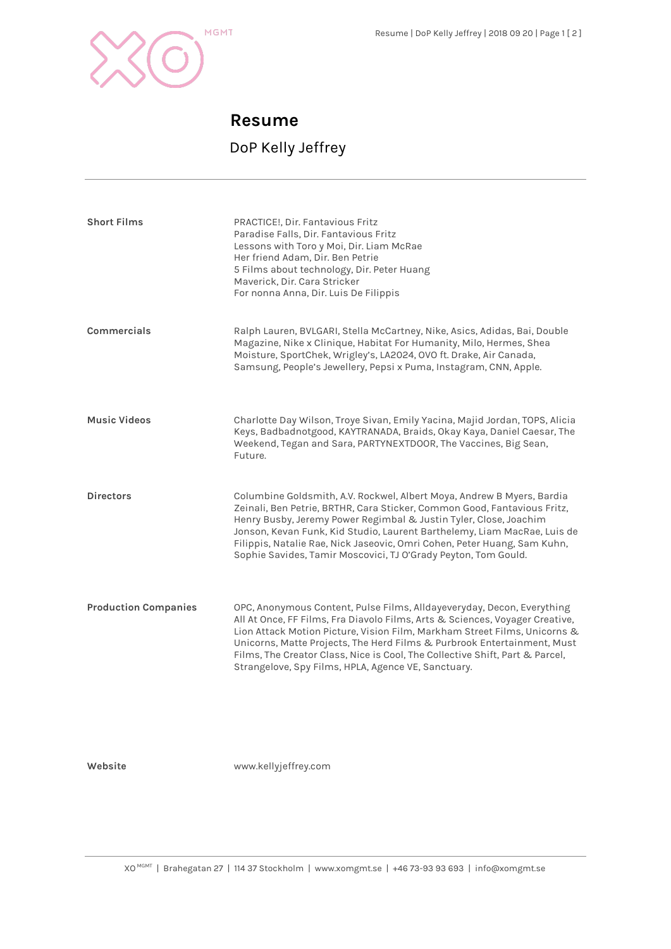

## **Resume**

## DoP Kelly Jeffrey

| <b>Short Films</b>          | PRACTICE!, Dir. Fantavious Fritz<br>Paradise Falls, Dir. Fantavious Fritz<br>Lessons with Toro y Moi, Dir. Liam McRae<br>Her friend Adam, Dir. Ben Petrie<br>5 Films about technology, Dir. Peter Huang<br>Maverick, Dir. Cara Stricker<br>For nonna Anna, Dir. Luis De Filippis                                                                                                                                                                      |
|-----------------------------|-------------------------------------------------------------------------------------------------------------------------------------------------------------------------------------------------------------------------------------------------------------------------------------------------------------------------------------------------------------------------------------------------------------------------------------------------------|
| Commercials                 | Ralph Lauren, BVLGARI, Stella McCartney, Nike, Asics, Adidas, Bai, Double<br>Magazine, Nike x Clinique, Habitat For Humanity, Milo, Hermes, Shea<br>Moisture, SportChek, Wrigley's, LA2024, OVO ft. Drake, Air Canada,<br>Samsung, People's Jewellery, Pepsi x Puma, Instagram, CNN, Apple.                                                                                                                                                           |
| <b>Music Videos</b>         | Charlotte Day Wilson, Troye Sivan, Emily Yacina, Majid Jordan, TOPS, Alicia<br>Keys, Badbadnotgood, KAYTRANADA, Braids, Okay Kaya, Daniel Caesar, The<br>Weekend, Tegan and Sara, PARTYNEXTDOOR, The Vaccines, Big Sean,<br>Future.                                                                                                                                                                                                                   |
| <b>Directors</b>            | Columbine Goldsmith, A.V. Rockwel, Albert Moya, Andrew B Myers, Bardia<br>Zeinali, Ben Petrie, BRTHR, Cara Sticker, Common Good, Fantavious Fritz,<br>Henry Busby, Jeremy Power Regimbal & Justin Tyler, Close, Joachim<br>Jonson, Kevan Funk, Kid Studio, Laurent Barthelemy, Liam MacRae, Luis de<br>Filippis, Natalie Rae, Nick Jaseovic, Omri Cohen, Peter Huang, Sam Kuhn,<br>Sophie Savides, Tamir Moscovici, TJ O'Grady Peyton, Tom Gould.     |
| <b>Production Companies</b> | OPC, Anonymous Content, Pulse Films, Alldayeveryday, Decon, Everything<br>All At Once, FF Films, Fra Diavolo Films, Arts & Sciences, Voyager Creative,<br>Lion Attack Motion Picture, Vision Film, Markham Street Films, Unicorns &<br>Unicorns, Matte Projects, The Herd Films & Purbrook Entertainment, Must<br>Films, The Creator Class, Nice is Cool, The Collective Shift, Part & Parcel,<br>Strangelove, Spy Films, HPLA, Agence VE, Sanctuary. |

**Website** www.kellyjeffrey.com